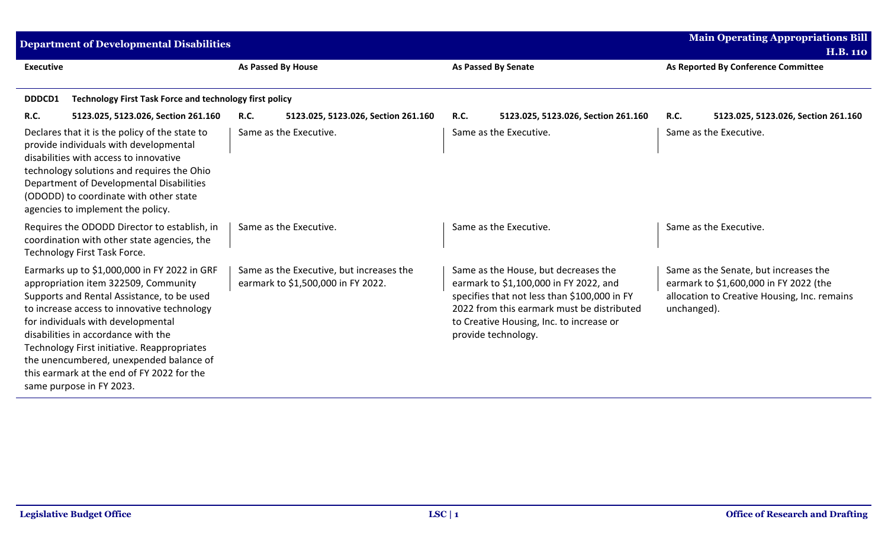| <b>Department of Developmental Disabilities</b>                                                                                                                                                                                                                                                                                                                                                                                    |                                                                                |                                                                                                                                                                                                                                                 | <b>Main Operating Appropriations Bill</b><br><b>H.B. 110</b>                                                                                   |
|------------------------------------------------------------------------------------------------------------------------------------------------------------------------------------------------------------------------------------------------------------------------------------------------------------------------------------------------------------------------------------------------------------------------------------|--------------------------------------------------------------------------------|-------------------------------------------------------------------------------------------------------------------------------------------------------------------------------------------------------------------------------------------------|------------------------------------------------------------------------------------------------------------------------------------------------|
| <b>Executive</b>                                                                                                                                                                                                                                                                                                                                                                                                                   | <b>As Passed By House</b>                                                      | <b>As Passed By Senate</b>                                                                                                                                                                                                                      | As Reported By Conference Committee                                                                                                            |
| <b>Technology First Task Force and technology first policy</b><br>DDDCD1                                                                                                                                                                                                                                                                                                                                                           |                                                                                |                                                                                                                                                                                                                                                 |                                                                                                                                                |
| <b>R.C.</b><br>5123.025, 5123.026, Section 261.160                                                                                                                                                                                                                                                                                                                                                                                 | <b>R.C.</b><br>5123.025, 5123.026, Section 261.160                             | 5123.025, 5123.026, Section 261.160<br><b>R.C.</b>                                                                                                                                                                                              | R.C.<br>5123.025, 5123.026, Section 261.160                                                                                                    |
| Declares that it is the policy of the state to<br>provide individuals with developmental<br>disabilities with access to innovative<br>technology solutions and requires the Ohio<br>Department of Developmental Disabilities<br>(ODODD) to coordinate with other state<br>agencies to implement the policy.                                                                                                                        | Same as the Executive.                                                         | Same as the Executive.                                                                                                                                                                                                                          | Same as the Executive.                                                                                                                         |
| Requires the ODODD Director to establish, in<br>coordination with other state agencies, the<br>Technology First Task Force.                                                                                                                                                                                                                                                                                                        | Same as the Executive.                                                         | Same as the Executive.                                                                                                                                                                                                                          | Same as the Executive.                                                                                                                         |
| Earmarks up to \$1,000,000 in FY 2022 in GRF<br>appropriation item 322509, Community<br>Supports and Rental Assistance, to be used<br>to increase access to innovative technology<br>for individuals with developmental<br>disabilities in accordance with the<br>Technology First initiative. Reappropriates<br>the unencumbered, unexpended balance of<br>this earmark at the end of FY 2022 for the<br>same purpose in FY 2023. | Same as the Executive, but increases the<br>earmark to \$1,500,000 in FY 2022. | Same as the House, but decreases the<br>earmark to \$1,100,000 in FY 2022, and<br>specifies that not less than \$100,000 in FY<br>2022 from this earmark must be distributed<br>to Creative Housing, Inc. to increase or<br>provide technology. | Same as the Senate, but increases the<br>earmark to \$1,600,000 in FY 2022 (the<br>allocation to Creative Housing, Inc. remains<br>unchanged). |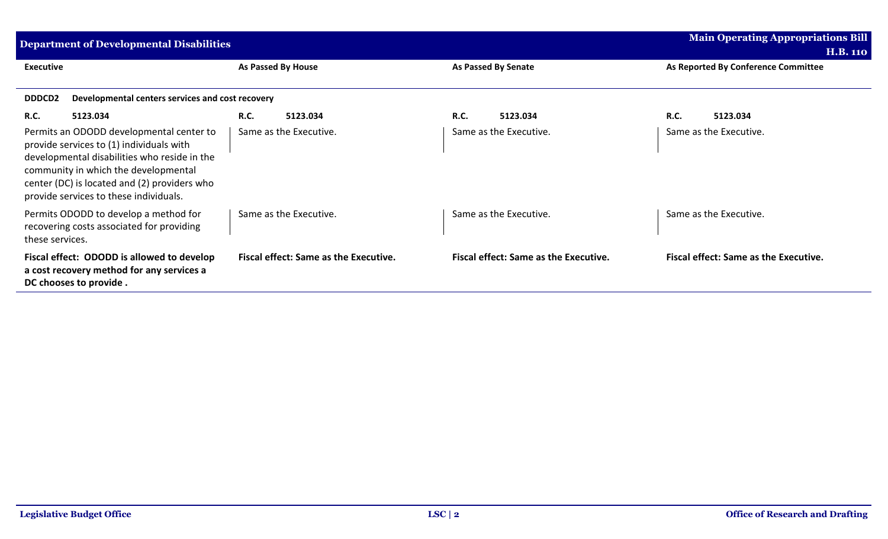| <b>Department of Developmental Disabilities</b>                                                                                                                                                                                                                        | <b>Main Operating Appropriations Bill</b>    |                                              |                                              |  |  |  |
|------------------------------------------------------------------------------------------------------------------------------------------------------------------------------------------------------------------------------------------------------------------------|----------------------------------------------|----------------------------------------------|----------------------------------------------|--|--|--|
|                                                                                                                                                                                                                                                                        |                                              |                                              | <b>H.B. 110</b>                              |  |  |  |
| <b>Executive</b>                                                                                                                                                                                                                                                       | As Passed By House                           | As Passed By Senate                          | As Reported By Conference Committee          |  |  |  |
|                                                                                                                                                                                                                                                                        |                                              |                                              |                                              |  |  |  |
| <b>DDDCD2</b><br>Developmental centers services and cost recovery                                                                                                                                                                                                      |                                              |                                              |                                              |  |  |  |
| <b>R.C.</b><br>5123.034                                                                                                                                                                                                                                                | <b>R.C.</b><br>5123.034                      | <b>R.C.</b><br>5123.034                      | R.C.<br>5123.034                             |  |  |  |
| Permits an ODODD developmental center to<br>provide services to (1) individuals with<br>developmental disabilities who reside in the<br>community in which the developmental<br>center (DC) is located and (2) providers who<br>provide services to these individuals. | Same as the Executive.                       | Same as the Executive.                       | Same as the Executive.                       |  |  |  |
| Permits ODODD to develop a method for<br>recovering costs associated for providing<br>these services.                                                                                                                                                                  | Same as the Executive.                       | Same as the Executive.                       | Same as the Executive.                       |  |  |  |
| Fiscal effect: ODODD is allowed to develop<br>a cost recovery method for any services a<br>DC chooses to provide.                                                                                                                                                      | <b>Fiscal effect: Same as the Executive.</b> | <b>Fiscal effect: Same as the Executive.</b> | <b>Fiscal effect: Same as the Executive.</b> |  |  |  |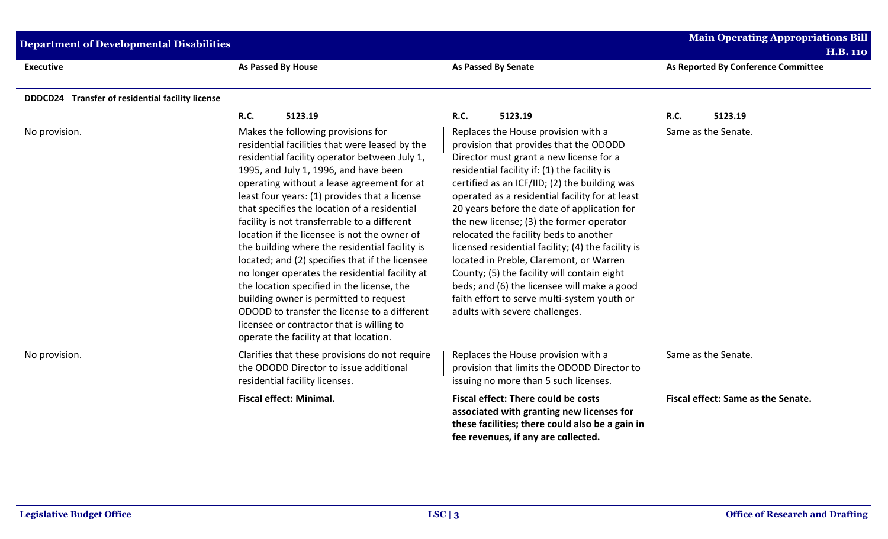| <b>Department of Developmental Disabilities</b>  | <b>Main Operating Appropriations Bill</b><br><b>H.B. 110</b>                                                                                                                                                                                                                                                                                                                                                                                                                                                                                                                                                                                                                                                                                                                                                        |                                                                                                                                                                                                                                                                                                                                                                                                                                                                                                                                                                                                                                                                                                   |                                     |
|--------------------------------------------------|---------------------------------------------------------------------------------------------------------------------------------------------------------------------------------------------------------------------------------------------------------------------------------------------------------------------------------------------------------------------------------------------------------------------------------------------------------------------------------------------------------------------------------------------------------------------------------------------------------------------------------------------------------------------------------------------------------------------------------------------------------------------------------------------------------------------|---------------------------------------------------------------------------------------------------------------------------------------------------------------------------------------------------------------------------------------------------------------------------------------------------------------------------------------------------------------------------------------------------------------------------------------------------------------------------------------------------------------------------------------------------------------------------------------------------------------------------------------------------------------------------------------------------|-------------------------------------|
| <b>Executive</b>                                 | <b>As Passed By House</b>                                                                                                                                                                                                                                                                                                                                                                                                                                                                                                                                                                                                                                                                                                                                                                                           | <b>As Passed By Senate</b>                                                                                                                                                                                                                                                                                                                                                                                                                                                                                                                                                                                                                                                                        | As Reported By Conference Committee |
| DDDCD24 Transfer of residential facility license |                                                                                                                                                                                                                                                                                                                                                                                                                                                                                                                                                                                                                                                                                                                                                                                                                     |                                                                                                                                                                                                                                                                                                                                                                                                                                                                                                                                                                                                                                                                                                   |                                     |
|                                                  | <b>R.C.</b><br>5123.19                                                                                                                                                                                                                                                                                                                                                                                                                                                                                                                                                                                                                                                                                                                                                                                              | R.C.<br>5123.19                                                                                                                                                                                                                                                                                                                                                                                                                                                                                                                                                                                                                                                                                   | <b>R.C.</b><br>5123.19              |
| No provision.                                    | Makes the following provisions for<br>residential facilities that were leased by the<br>residential facility operator between July 1,<br>1995, and July 1, 1996, and have been<br>operating without a lease agreement for at<br>least four years: (1) provides that a license<br>that specifies the location of a residential<br>facility is not transferrable to a different<br>location if the licensee is not the owner of<br>the building where the residential facility is<br>located; and (2) specifies that if the licensee<br>no longer operates the residential facility at<br>the location specified in the license, the<br>building owner is permitted to request<br>ODODD to transfer the license to a different<br>licensee or contractor that is willing to<br>operate the facility at that location. | Replaces the House provision with a<br>provision that provides that the ODODD<br>Director must grant a new license for a<br>residential facility if: (1) the facility is<br>certified as an ICF/IID; (2) the building was<br>operated as a residential facility for at least<br>20 years before the date of application for<br>the new license; (3) the former operator<br>relocated the facility beds to another<br>licensed residential facility; (4) the facility is<br>located in Preble, Claremont, or Warren<br>County; (5) the facility will contain eight<br>beds; and (6) the licensee will make a good<br>faith effort to serve multi-system youth or<br>adults with severe challenges. | Same as the Senate.                 |
| No provision.                                    | Clarifies that these provisions do not require<br>the ODODD Director to issue additional<br>residential facility licenses.                                                                                                                                                                                                                                                                                                                                                                                                                                                                                                                                                                                                                                                                                          | Replaces the House provision with a<br>provision that limits the ODODD Director to<br>issuing no more than 5 such licenses.                                                                                                                                                                                                                                                                                                                                                                                                                                                                                                                                                                       | Same as the Senate.                 |
|                                                  | <b>Fiscal effect: Minimal.</b>                                                                                                                                                                                                                                                                                                                                                                                                                                                                                                                                                                                                                                                                                                                                                                                      | Fiscal effect: There could be costs<br>associated with granting new licenses for<br>these facilities; there could also be a gain in<br>fee revenues, if any are collected.                                                                                                                                                                                                                                                                                                                                                                                                                                                                                                                        | Fiscal effect: Same as the Senate.  |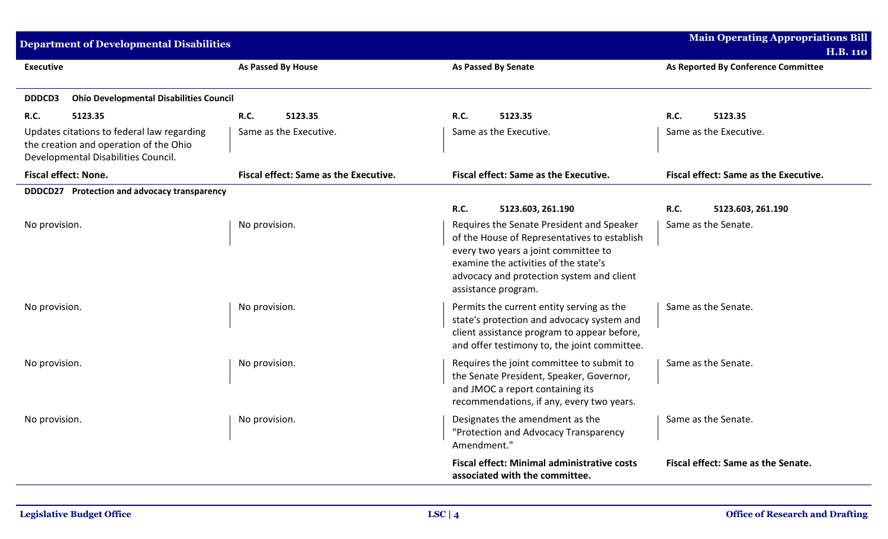| Department of Developmental Disabilities                                                                                    |                                       |                                                                                                                                                                                                                                                | <b>Main Operating Appropriations Bill</b> |
|-----------------------------------------------------------------------------------------------------------------------------|---------------------------------------|------------------------------------------------------------------------------------------------------------------------------------------------------------------------------------------------------------------------------------------------|-------------------------------------------|
|                                                                                                                             |                                       |                                                                                                                                                                                                                                                | <b>H.B. 110</b>                           |
| <b>Executive</b>                                                                                                            | As Passed By House                    | <b>As Passed By Senate</b>                                                                                                                                                                                                                     | As Reported By Conference Committee       |
| <b>Ohio Developmental Disabilities Council</b><br><b>DDDCD3</b>                                                             |                                       |                                                                                                                                                                                                                                                |                                           |
| R.C.<br>5123.35                                                                                                             | R.C.<br>5123.35                       | <b>R.C.</b><br>5123.35                                                                                                                                                                                                                         | <b>R.C.</b><br>5123.35                    |
| Updates citations to federal law regarding<br>the creation and operation of the Ohio<br>Developmental Disabilities Council. | Same as the Executive.                | Same as the Executive.                                                                                                                                                                                                                         | Same as the Executive.                    |
| <b>Fiscal effect: None.</b>                                                                                                 | Fiscal effect: Same as the Executive. | Fiscal effect: Same as the Executive.                                                                                                                                                                                                          | Fiscal effect: Same as the Executive.     |
| DDDCD27 Protection and advocacy transparency                                                                                |                                       |                                                                                                                                                                                                                                                |                                           |
|                                                                                                                             |                                       | R.C.<br>5123.603, 261.190                                                                                                                                                                                                                      | R.C.<br>5123.603, 261.190                 |
| No provision.                                                                                                               | No provision.                         | Requires the Senate President and Speaker<br>of the House of Representatives to establish<br>every two years a joint committee to<br>examine the activities of the state's<br>advocacy and protection system and client<br>assistance program. | Same as the Senate.                       |
| No provision.                                                                                                               | No provision.                         | Permits the current entity serving as the<br>state's protection and advocacy system and<br>client assistance program to appear before,<br>and offer testimony to, the joint committee.                                                         | Same as the Senate.                       |
| No provision.                                                                                                               | No provision.                         | Requires the joint committee to submit to<br>the Senate President, Speaker, Governor,<br>and JMOC a report containing its<br>recommendations, if any, every two years.                                                                         | Same as the Senate.                       |
| No provision.                                                                                                               | No provision.                         | Designates the amendment as the<br>"Protection and Advocacy Transparency<br>Amendment."                                                                                                                                                        | Same as the Senate.                       |
|                                                                                                                             |                                       | <b>Fiscal effect: Minimal administrative costs</b><br>associated with the committee.                                                                                                                                                           | Fiscal effect: Same as the Senate.        |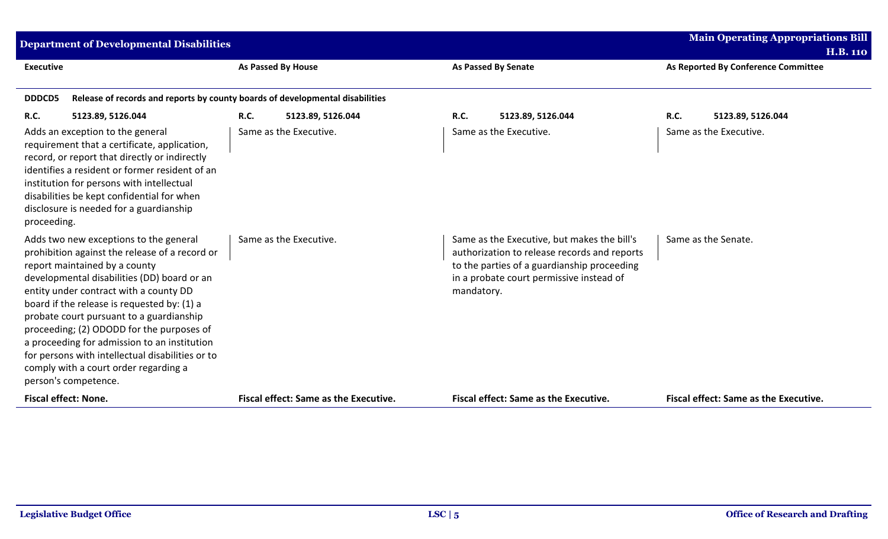| <b>Department of Developmental Disabilities</b>                                                                                                                                                                                                                                                                                                                                                                                                                                                                                 |                                                                               |                                                                                                                                                                                                      | <b>Main Operating Appropriations Bill</b><br><b>H.B. 110</b> |
|---------------------------------------------------------------------------------------------------------------------------------------------------------------------------------------------------------------------------------------------------------------------------------------------------------------------------------------------------------------------------------------------------------------------------------------------------------------------------------------------------------------------------------|-------------------------------------------------------------------------------|------------------------------------------------------------------------------------------------------------------------------------------------------------------------------------------------------|--------------------------------------------------------------|
| <b>Executive</b>                                                                                                                                                                                                                                                                                                                                                                                                                                                                                                                | <b>As Passed By House</b>                                                     | <b>As Passed By Senate</b>                                                                                                                                                                           | As Reported By Conference Committee                          |
| DDDCD5                                                                                                                                                                                                                                                                                                                                                                                                                                                                                                                          | Release of records and reports by county boards of developmental disabilities |                                                                                                                                                                                                      |                                                              |
| <b>R.C.</b><br>5123.89, 5126.044                                                                                                                                                                                                                                                                                                                                                                                                                                                                                                | <b>R.C.</b><br>5123.89, 5126.044                                              | R.C.<br>5123.89, 5126.044                                                                                                                                                                            | R.C.<br>5123.89, 5126.044                                    |
| Adds an exception to the general<br>requirement that a certificate, application,<br>record, or report that directly or indirectly<br>identifies a resident or former resident of an<br>institution for persons with intellectual<br>disabilities be kept confidential for when<br>disclosure is needed for a guardianship<br>proceeding.                                                                                                                                                                                        | Same as the Executive.                                                        | Same as the Executive.                                                                                                                                                                               | Same as the Executive.                                       |
| Adds two new exceptions to the general<br>prohibition against the release of a record or<br>report maintained by a county<br>developmental disabilities (DD) board or an<br>entity under contract with a county DD<br>board if the release is requested by: (1) a<br>probate court pursuant to a guardianship<br>proceeding; (2) ODODD for the purposes of<br>a proceeding for admission to an institution<br>for persons with intellectual disabilities or to<br>comply with a court order regarding a<br>person's competence. | Same as the Executive.                                                        | Same as the Executive, but makes the bill's<br>authorization to release records and reports<br>to the parties of a guardianship proceeding<br>in a probate court permissive instead of<br>mandatory. | Same as the Senate.                                          |
| <b>Fiscal effect: None.</b>                                                                                                                                                                                                                                                                                                                                                                                                                                                                                                     | <b>Fiscal effect: Same as the Executive.</b>                                  | <b>Fiscal effect: Same as the Executive.</b>                                                                                                                                                         | <b>Fiscal effect: Same as the Executive.</b>                 |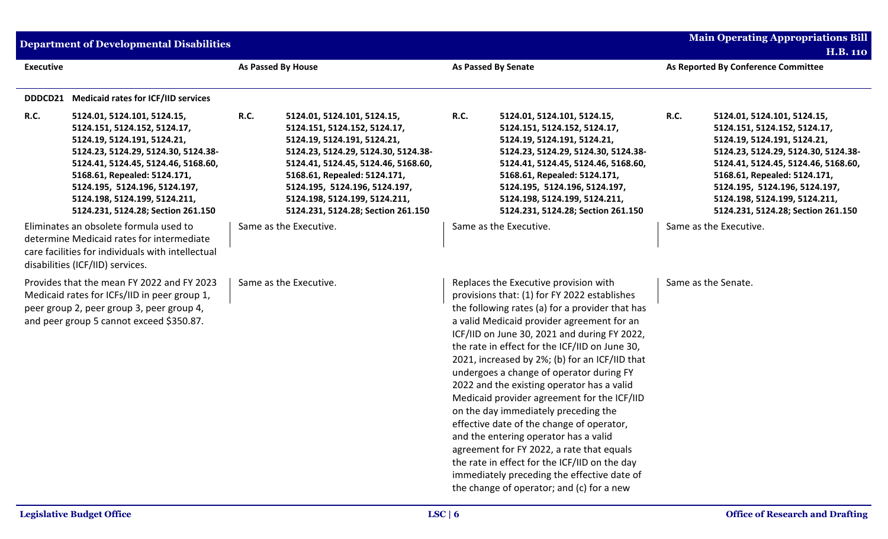|                  | <b>Department of Developmental Disabilities</b>                                                                                                                                                                                                                                   |                    |                                                                                                                                                                                                                                                                                   |             |                                                                                                                                                                                                                                                                                                                                                                                                                                                                                                                                                                                                                                                                                                                                                                                                             |             | <b>Main Operating Appropriations Bill</b><br><b>H.B. 110</b>                                                                                                                                                                                                                      |  |
|------------------|-----------------------------------------------------------------------------------------------------------------------------------------------------------------------------------------------------------------------------------------------------------------------------------|--------------------|-----------------------------------------------------------------------------------------------------------------------------------------------------------------------------------------------------------------------------------------------------------------------------------|-------------|-------------------------------------------------------------------------------------------------------------------------------------------------------------------------------------------------------------------------------------------------------------------------------------------------------------------------------------------------------------------------------------------------------------------------------------------------------------------------------------------------------------------------------------------------------------------------------------------------------------------------------------------------------------------------------------------------------------------------------------------------------------------------------------------------------------|-------------|-----------------------------------------------------------------------------------------------------------------------------------------------------------------------------------------------------------------------------------------------------------------------------------|--|
| <b>Executive</b> |                                                                                                                                                                                                                                                                                   | As Passed By House |                                                                                                                                                                                                                                                                                   |             | <b>As Passed By Senate</b>                                                                                                                                                                                                                                                                                                                                                                                                                                                                                                                                                                                                                                                                                                                                                                                  |             | As Reported By Conference Committee                                                                                                                                                                                                                                               |  |
| DDDCD21<br>R.C.  | <b>Medicaid rates for ICF/IID services</b><br>5124.01, 5124.101, 5124.15,                                                                                                                                                                                                         | R.C.               | 5124.01, 5124.101, 5124.15,                                                                                                                                                                                                                                                       | <b>R.C.</b> | 5124.01, 5124.101, 5124.15,                                                                                                                                                                                                                                                                                                                                                                                                                                                                                                                                                                                                                                                                                                                                                                                 | <b>R.C.</b> | 5124.01, 5124.101, 5124.15,                                                                                                                                                                                                                                                       |  |
|                  | 5124.151, 5124.152, 5124.17,<br>5124.19, 5124.191, 5124.21,<br>5124.23, 5124.29, 5124.30, 5124.38-<br>5124.41, 5124.45, 5124.46, 5168.60,<br>5168.61, Repealed: 5124.171,<br>5124.195, 5124.196, 5124.197,<br>5124.198, 5124.199, 5124.211,<br>5124.231, 5124.28; Section 261.150 |                    | 5124.151, 5124.152, 5124.17,<br>5124.19, 5124.191, 5124.21,<br>5124.23, 5124.29, 5124.30, 5124.38-<br>5124.41, 5124.45, 5124.46, 5168.60,<br>5168.61, Repealed: 5124.171,<br>5124.195, 5124.196, 5124.197,<br>5124.198, 5124.199, 5124.211,<br>5124.231, 5124.28; Section 261.150 |             | 5124.151, 5124.152, 5124.17,<br>5124.19, 5124.191, 5124.21,<br>5124.23, 5124.29, 5124.30, 5124.38-<br>5124.41, 5124.45, 5124.46, 5168.60,<br>5168.61, Repealed: 5124.171,<br>5124.195, 5124.196, 5124.197,<br>5124.198, 5124.199, 5124.211,<br>5124.231, 5124.28; Section 261.150                                                                                                                                                                                                                                                                                                                                                                                                                                                                                                                           |             | 5124.151, 5124.152, 5124.17,<br>5124.19, 5124.191, 5124.21,<br>5124.23, 5124.29, 5124.30, 5124.38-<br>5124.41, 5124.45, 5124.46, 5168.60,<br>5168.61, Repealed: 5124.171,<br>5124.195, 5124.196, 5124.197,<br>5124.198, 5124.199, 5124.211,<br>5124.231, 5124.28; Section 261.150 |  |
|                  | Eliminates an obsolete formula used to<br>determine Medicaid rates for intermediate<br>care facilities for individuals with intellectual<br>disabilities (ICF/IID) services.                                                                                                      |                    | Same as the Executive.                                                                                                                                                                                                                                                            |             | Same as the Executive.                                                                                                                                                                                                                                                                                                                                                                                                                                                                                                                                                                                                                                                                                                                                                                                      |             | Same as the Executive.                                                                                                                                                                                                                                                            |  |
|                  | Provides that the mean FY 2022 and FY 2023<br>Medicaid rates for ICFs/IID in peer group 1,<br>peer group 2, peer group 3, peer group 4,<br>and peer group 5 cannot exceed \$350.87.                                                                                               |                    | Same as the Executive.                                                                                                                                                                                                                                                            |             | Replaces the Executive provision with<br>provisions that: (1) for FY 2022 establishes<br>the following rates (a) for a provider that has<br>a valid Medicaid provider agreement for an<br>ICF/IID on June 30, 2021 and during FY 2022,<br>the rate in effect for the ICF/IID on June 30,<br>2021, increased by 2%; (b) for an ICF/IID that<br>undergoes a change of operator during FY<br>2022 and the existing operator has a valid<br>Medicaid provider agreement for the ICF/IID<br>on the day immediately preceding the<br>effective date of the change of operator,<br>and the entering operator has a valid<br>agreement for FY 2022, a rate that equals<br>the rate in effect for the ICF/IID on the day<br>immediately preceding the effective date of<br>the change of operator; and (c) for a new |             | Same as the Senate.                                                                                                                                                                                                                                                               |  |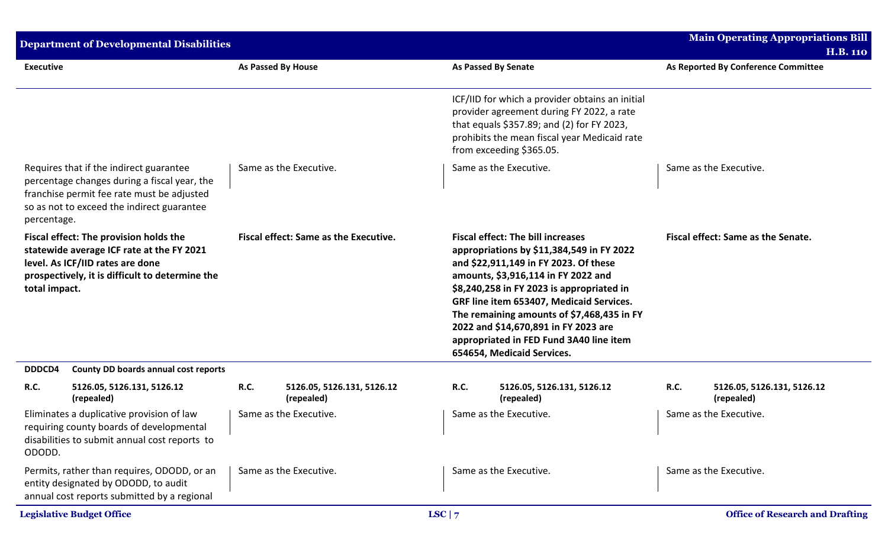|                  | <b>Department of Developmental Disabilities</b>                                                                                                                                     |             |                                              |          |                                                                                                                                                                                                                                                                                                                                                                                                                               |      | <b>Main Operating Appropriations Bill</b> |
|------------------|-------------------------------------------------------------------------------------------------------------------------------------------------------------------------------------|-------------|----------------------------------------------|----------|-------------------------------------------------------------------------------------------------------------------------------------------------------------------------------------------------------------------------------------------------------------------------------------------------------------------------------------------------------------------------------------------------------------------------------|------|-------------------------------------------|
|                  |                                                                                                                                                                                     |             |                                              |          |                                                                                                                                                                                                                                                                                                                                                                                                                               |      | <b>H.B. 110</b>                           |
| <b>Executive</b> |                                                                                                                                                                                     |             | <b>As Passed By House</b>                    |          | <b>As Passed By Senate</b>                                                                                                                                                                                                                                                                                                                                                                                                    |      | As Reported By Conference Committee       |
|                  |                                                                                                                                                                                     |             |                                              |          | ICF/IID for which a provider obtains an initial<br>provider agreement during FY 2022, a rate<br>that equals \$357.89; and (2) for FY 2023,<br>prohibits the mean fiscal year Medicaid rate<br>from exceeding \$365.05.                                                                                                                                                                                                        |      |                                           |
| percentage.      | Requires that if the indirect guarantee<br>percentage changes during a fiscal year, the<br>franchise permit fee rate must be adjusted<br>so as not to exceed the indirect guarantee |             | Same as the Executive.                       |          | Same as the Executive.                                                                                                                                                                                                                                                                                                                                                                                                        |      | Same as the Executive.                    |
| total impact.    | Fiscal effect: The provision holds the<br>statewide average ICF rate at the FY 2021<br>level. As ICF/IID rates are done<br>prospectively, it is difficult to determine the          |             | <b>Fiscal effect: Same as the Executive.</b> |          | <b>Fiscal effect: The bill increases</b><br>appropriations by \$11,384,549 in FY 2022<br>and \$22,911,149 in FY 2023. Of these<br>amounts, \$3,916,114 in FY 2022 and<br>\$8,240,258 in FY 2023 is appropriated in<br>GRF line item 653407, Medicaid Services.<br>The remaining amounts of \$7,468,435 in FY<br>2022 and \$14,670,891 in FY 2023 are<br>appropriated in FED Fund 3A40 line item<br>654654, Medicaid Services. |      | Fiscal effect: Same as the Senate.        |
| DDDCD4           | County DD boards annual cost reports                                                                                                                                                |             |                                              |          |                                                                                                                                                                                                                                                                                                                                                                                                                               |      |                                           |
| <b>R.C.</b>      | 5126.05, 5126.131, 5126.12<br>(repealed)                                                                                                                                            | <b>R.C.</b> | 5126.05, 5126.131, 5126.12<br>(repealed)     | R.C.     | 5126.05, 5126.131, 5126.12<br>(repealed)                                                                                                                                                                                                                                                                                                                                                                                      | R.C. | 5126.05, 5126.131, 5126.12<br>(repealed)  |
| ODODD.           | Eliminates a duplicative provision of law<br>requiring county boards of developmental<br>disabilities to submit annual cost reports to                                              |             | Same as the Executive.                       |          | Same as the Executive.                                                                                                                                                                                                                                                                                                                                                                                                        |      | Same as the Executive.                    |
|                  | Permits, rather than requires, ODODD, or an<br>entity designated by ODODD, to audit<br>annual cost reports submitted by a regional                                                  |             | Same as the Executive.                       |          | Same as the Executive.                                                                                                                                                                                                                                                                                                                                                                                                        |      | Same as the Executive.                    |
|                  | <b>Legislative Budget Office</b>                                                                                                                                                    |             |                                              | LSC $ 7$ |                                                                                                                                                                                                                                                                                                                                                                                                                               |      | <b>Office of Research and Drafting</b>    |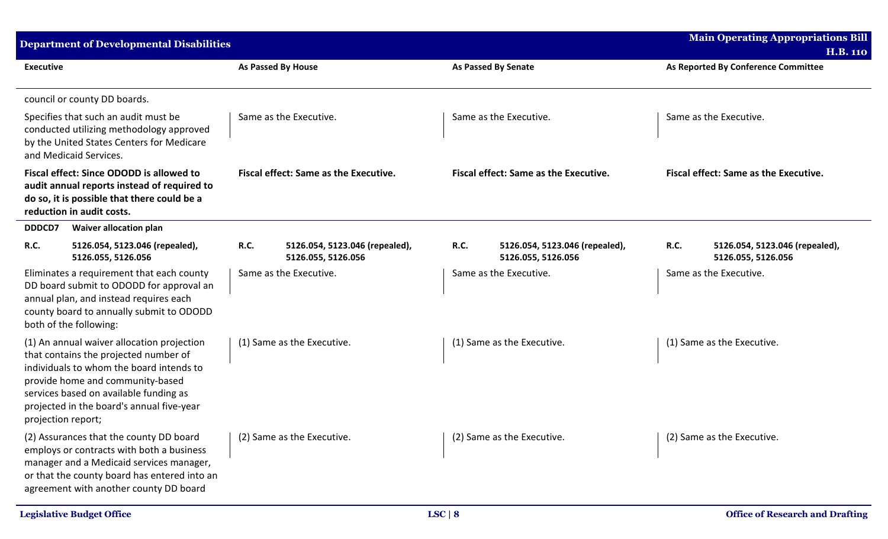|                    | <b>Department of Developmental Disabilities</b>                                                                                                                                                                                                            |                                                  |                                                      |             |                                                      |             | <b>Main Operating Appropriations Bill</b><br><b>H.B. 110</b> |
|--------------------|------------------------------------------------------------------------------------------------------------------------------------------------------------------------------------------------------------------------------------------------------------|--------------------------------------------------|------------------------------------------------------|-------------|------------------------------------------------------|-------------|--------------------------------------------------------------|
| <b>Executive</b>   |                                                                                                                                                                                                                                                            | As Passed By House                               |                                                      |             | <b>As Passed By Senate</b>                           |             | As Reported By Conference Committee                          |
|                    | council or county DD boards.                                                                                                                                                                                                                               |                                                  |                                                      |             |                                                      |             |                                                              |
|                    | Specifies that such an audit must be<br>conducted utilizing methodology approved<br>by the United States Centers for Medicare<br>and Medicaid Services.                                                                                                    | Same as the Executive.<br>Same as the Executive. |                                                      |             | Same as the Executive.                               |             |                                                              |
|                    | Fiscal effect: Since ODODD is allowed to<br>audit annual reports instead of required to<br>do so, it is possible that there could be a<br>reduction in audit costs.                                                                                        |                                                  | <b>Fiscal effect: Same as the Executive.</b>         |             | <b>Fiscal effect: Same as the Executive.</b>         |             | <b>Fiscal effect: Same as the Executive.</b>                 |
| DDDCD7             | <b>Waiver allocation plan</b>                                                                                                                                                                                                                              |                                                  |                                                      |             |                                                      |             |                                                              |
| R.C.               | 5126.054, 5123.046 (repealed),<br>5126.055, 5126.056                                                                                                                                                                                                       | R.C.                                             | 5126.054, 5123.046 (repealed),<br>5126.055, 5126.056 | <b>R.C.</b> | 5126.054, 5123.046 (repealed),<br>5126.055, 5126.056 | <b>R.C.</b> | 5126.054, 5123.046 (repealed),<br>5126.055, 5126.056         |
|                    | Eliminates a requirement that each county<br>DD board submit to ODODD for approval an<br>annual plan, and instead requires each<br>county board to annually submit to ODODD<br>both of the following:                                                      |                                                  | Same as the Executive.                               |             | Same as the Executive.                               |             | Same as the Executive.                                       |
| projection report; | (1) An annual waiver allocation projection<br>that contains the projected number of<br>individuals to whom the board intends to<br>provide home and community-based<br>services based on available funding as<br>projected in the board's annual five-year |                                                  | (1) Same as the Executive.                           |             | (1) Same as the Executive.                           |             | (1) Same as the Executive.                                   |
|                    | (2) Assurances that the county DD board<br>employs or contracts with both a business<br>manager and a Medicaid services manager,<br>or that the county board has entered into an<br>agreement with another county DD board                                 |                                                  | (2) Same as the Executive.                           |             | (2) Same as the Executive.                           |             | (2) Same as the Executive.                                   |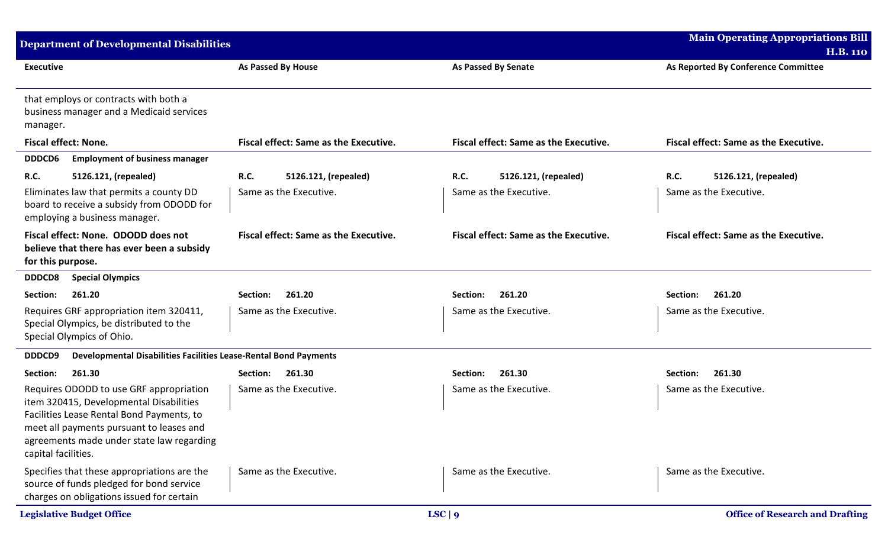| <b>Department of Developmental Disabilities</b>                                                                                                                                                                                                 |                                                        |                                                        | <b>Main Operating Appropriations Bill</b><br><b>H.B. 110</b>  |
|-------------------------------------------------------------------------------------------------------------------------------------------------------------------------------------------------------------------------------------------------|--------------------------------------------------------|--------------------------------------------------------|---------------------------------------------------------------|
| <b>Executive</b>                                                                                                                                                                                                                                | <b>As Passed By House</b>                              | <b>As Passed By Senate</b>                             | As Reported By Conference Committee                           |
| that employs or contracts with both a<br>business manager and a Medicaid services<br>manager.                                                                                                                                                   |                                                        |                                                        |                                                               |
| <b>Fiscal effect: None.</b>                                                                                                                                                                                                                     | <b>Fiscal effect: Same as the Executive.</b>           | <b>Fiscal effect: Same as the Executive.</b>           | <b>Fiscal effect: Same as the Executive.</b>                  |
| <b>DDDCD6</b><br><b>Employment of business manager</b>                                                                                                                                                                                          |                                                        |                                                        |                                                               |
| <b>R.C.</b><br>5126.121, (repealed)<br>Eliminates law that permits a county DD<br>board to receive a subsidy from ODODD for<br>employing a business manager.                                                                                    | R.C.<br>5126.121, (repealed)<br>Same as the Executive. | R.C.<br>5126.121, (repealed)<br>Same as the Executive. | <b>R.C.</b><br>5126.121, (repealed)<br>Same as the Executive. |
| Fiscal effect: None. ODODD does not<br>believe that there has ever been a subsidy<br>for this purpose.                                                                                                                                          | <b>Fiscal effect: Same as the Executive.</b>           | <b>Fiscal effect: Same as the Executive.</b>           | <b>Fiscal effect: Same as the Executive.</b>                  |
| <b>DDDCD8</b><br><b>Special Olympics</b>                                                                                                                                                                                                        |                                                        |                                                        |                                                               |
| 261.20<br>Section:                                                                                                                                                                                                                              | 261.20<br>Section:                                     | 261.20<br>Section:                                     | Section:<br>261.20                                            |
| Requires GRF appropriation item 320411,<br>Special Olympics, be distributed to the<br>Special Olympics of Ohio.                                                                                                                                 | Same as the Executive.                                 | Same as the Executive.                                 | Same as the Executive.                                        |
| Developmental Disabilities Facilities Lease-Rental Bond Payments<br>DDDCD9                                                                                                                                                                      |                                                        |                                                        |                                                               |
| Section:<br>261.30                                                                                                                                                                                                                              | Section:<br>261.30                                     | 261.30<br>Section:                                     | Section:<br>261.30                                            |
| Requires ODODD to use GRF appropriation<br>item 320415, Developmental Disabilities<br>Facilities Lease Rental Bond Payments, to<br>meet all payments pursuant to leases and<br>agreements made under state law regarding<br>capital facilities. | Same as the Executive.                                 | Same as the Executive.                                 | Same as the Executive.                                        |
| Specifies that these appropriations are the<br>source of funds pledged for bond service<br>charges on obligations issued for certain                                                                                                            | Same as the Executive.                                 | Same as the Executive.                                 | Same as the Executive.                                        |
| <b>Legislative Budget Office</b>                                                                                                                                                                                                                |                                                        | LSC   9                                                | <b>Office of Research and Drafting</b>                        |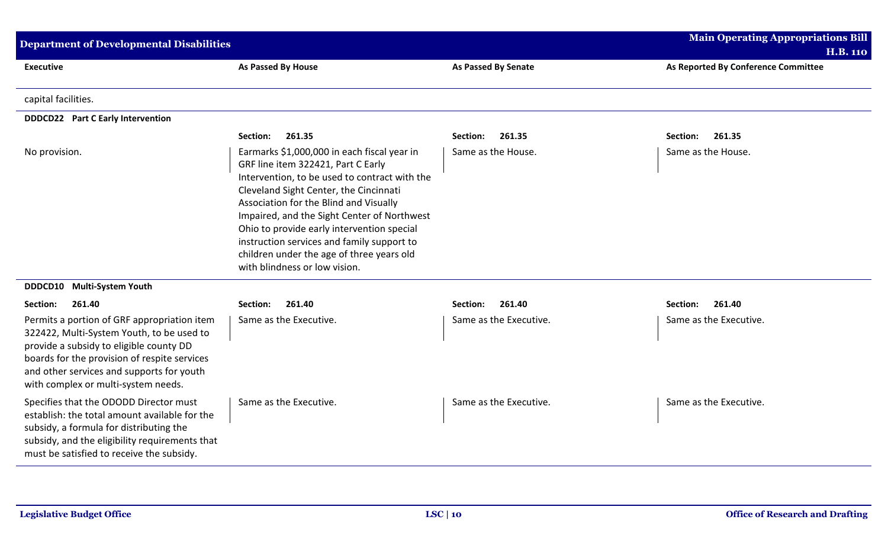| <b>Department of Developmental Disabilities</b>                                                                                                                                                                                                                         |                                                                                                                                                                                                                                                                                                                                                                                                                                                 |                            | <b>Main Operating Appropriations Bill</b><br><b>H.B. 110</b> |
|-------------------------------------------------------------------------------------------------------------------------------------------------------------------------------------------------------------------------------------------------------------------------|-------------------------------------------------------------------------------------------------------------------------------------------------------------------------------------------------------------------------------------------------------------------------------------------------------------------------------------------------------------------------------------------------------------------------------------------------|----------------------------|--------------------------------------------------------------|
| <b>Executive</b>                                                                                                                                                                                                                                                        | As Passed By House                                                                                                                                                                                                                                                                                                                                                                                                                              | <b>As Passed By Senate</b> | As Reported By Conference Committee                          |
| capital facilities.                                                                                                                                                                                                                                                     |                                                                                                                                                                                                                                                                                                                                                                                                                                                 |                            |                                                              |
| <b>DDDCD22</b> Part C Early Intervention                                                                                                                                                                                                                                |                                                                                                                                                                                                                                                                                                                                                                                                                                                 |                            |                                                              |
|                                                                                                                                                                                                                                                                         | 261.35<br>Section:                                                                                                                                                                                                                                                                                                                                                                                                                              | 261.35<br>Section:         | 261.35<br>Section:                                           |
| No provision.                                                                                                                                                                                                                                                           | Earmarks \$1,000,000 in each fiscal year in<br>GRF line item 322421, Part C Early<br>Intervention, to be used to contract with the<br>Cleveland Sight Center, the Cincinnati<br>Association for the Blind and Visually<br>Impaired, and the Sight Center of Northwest<br>Ohio to provide early intervention special<br>instruction services and family support to<br>children under the age of three years old<br>with blindness or low vision. | Same as the House.         | Same as the House.                                           |
| DDDCD10<br><b>Multi-System Youth</b>                                                                                                                                                                                                                                    |                                                                                                                                                                                                                                                                                                                                                                                                                                                 |                            |                                                              |
| 261.40<br>Section:                                                                                                                                                                                                                                                      | 261.40<br>Section:                                                                                                                                                                                                                                                                                                                                                                                                                              | 261.40<br>Section:         | 261.40<br>Section:                                           |
| Permits a portion of GRF appropriation item<br>322422, Multi-System Youth, to be used to<br>provide a subsidy to eligible county DD<br>boards for the provision of respite services<br>and other services and supports for youth<br>with complex or multi-system needs. | Same as the Executive.                                                                                                                                                                                                                                                                                                                                                                                                                          | Same as the Executive.     | Same as the Executive.                                       |
| Specifies that the ODODD Director must<br>establish: the total amount available for the<br>subsidy, a formula for distributing the<br>subsidy, and the eligibility requirements that<br>must be satisfied to receive the subsidy.                                       | Same as the Executive.                                                                                                                                                                                                                                                                                                                                                                                                                          | Same as the Executive.     | Same as the Executive.                                       |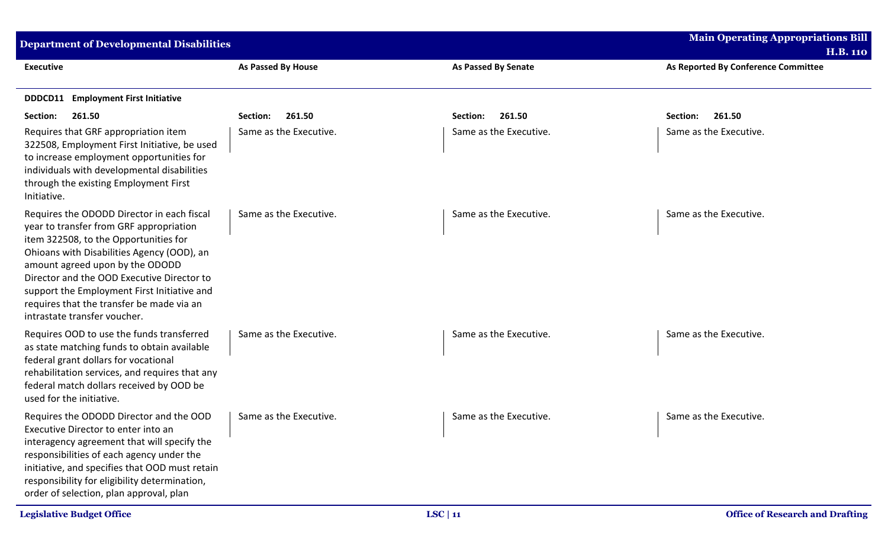| <b>Department of Developmental Disabilities</b>                                                                                                                                                                                                                                                                                                                                           |                        |                            | <b>Main Operating Appropriations Bill</b><br><b>H.B. 110</b> |
|-------------------------------------------------------------------------------------------------------------------------------------------------------------------------------------------------------------------------------------------------------------------------------------------------------------------------------------------------------------------------------------------|------------------------|----------------------------|--------------------------------------------------------------|
| <b>Executive</b>                                                                                                                                                                                                                                                                                                                                                                          | As Passed By House     | <b>As Passed By Senate</b> | As Reported By Conference Committee                          |
| <b>Employment First Initiative</b><br>DDDCD11                                                                                                                                                                                                                                                                                                                                             |                        |                            |                                                              |
| 261.50<br>Section:                                                                                                                                                                                                                                                                                                                                                                        | 261.50<br>Section:     | 261.50<br>Section:         | 261.50<br>Section:                                           |
| Requires that GRF appropriation item<br>322508, Employment First Initiative, be used<br>to increase employment opportunities for<br>individuals with developmental disabilities<br>through the existing Employment First<br>Initiative.                                                                                                                                                   | Same as the Executive. | Same as the Executive.     | Same as the Executive.                                       |
| Requires the ODODD Director in each fiscal<br>year to transfer from GRF appropriation<br>item 322508, to the Opportunities for<br>Ohioans with Disabilities Agency (OOD), an<br>amount agreed upon by the ODODD<br>Director and the OOD Executive Director to<br>support the Employment First Initiative and<br>requires that the transfer be made via an<br>intrastate transfer voucher. | Same as the Executive. | Same as the Executive.     | Same as the Executive.                                       |
| Requires OOD to use the funds transferred<br>as state matching funds to obtain available<br>federal grant dollars for vocational<br>rehabilitation services, and requires that any<br>federal match dollars received by OOD be<br>used for the initiative.                                                                                                                                | Same as the Executive. | Same as the Executive.     | Same as the Executive.                                       |
| Requires the ODODD Director and the OOD<br>Executive Director to enter into an<br>interagency agreement that will specify the<br>responsibilities of each agency under the<br>initiative, and specifies that OOD must retain<br>responsibility for eligibility determination,<br>order of selection, plan approval, plan                                                                  | Same as the Executive. | Same as the Executive.     | Same as the Executive.                                       |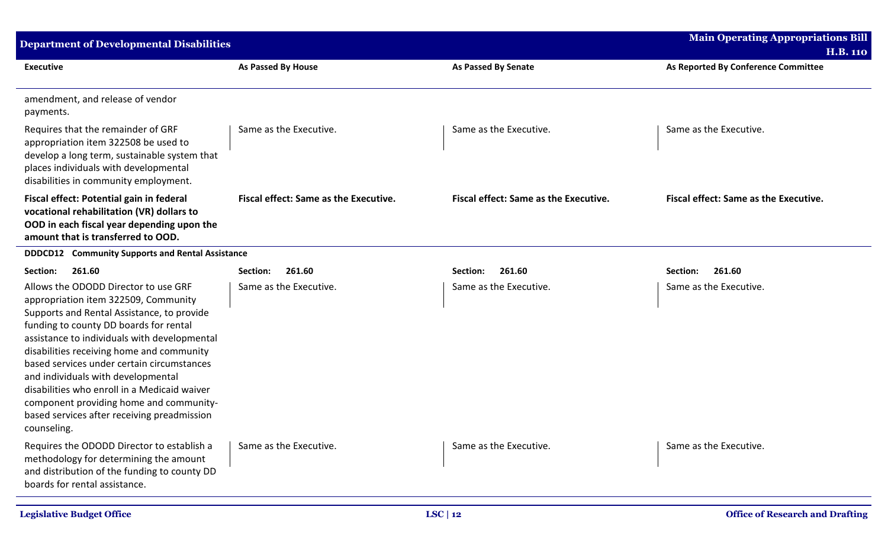| Department of Developmental Disabilities                                                                                                                                                                                                                                                                                                                                                                                                                                                                       |                                              |                                              | <b>Main Operating Appropriations Bill</b>              |
|----------------------------------------------------------------------------------------------------------------------------------------------------------------------------------------------------------------------------------------------------------------------------------------------------------------------------------------------------------------------------------------------------------------------------------------------------------------------------------------------------------------|----------------------------------------------|----------------------------------------------|--------------------------------------------------------|
| <b>Executive</b>                                                                                                                                                                                                                                                                                                                                                                                                                                                                                               | <b>As Passed By House</b>                    | <b>As Passed By Senate</b>                   | <b>H.B. 110</b><br>As Reported By Conference Committee |
| amendment, and release of vendor<br>payments.                                                                                                                                                                                                                                                                                                                                                                                                                                                                  |                                              |                                              |                                                        |
| Requires that the remainder of GRF<br>appropriation item 322508 be used to<br>develop a long term, sustainable system that<br>places individuals with developmental<br>disabilities in community employment.                                                                                                                                                                                                                                                                                                   | Same as the Executive.                       | Same as the Executive.                       | Same as the Executive.                                 |
| Fiscal effect: Potential gain in federal<br>vocational rehabilitation (VR) dollars to<br>OOD in each fiscal year depending upon the<br>amount that is transferred to OOD.                                                                                                                                                                                                                                                                                                                                      | <b>Fiscal effect: Same as the Executive.</b> | <b>Fiscal effect: Same as the Executive.</b> | <b>Fiscal effect: Same as the Executive.</b>           |
| <b>Community Supports and Rental Assistance</b><br><b>DDDCD12</b>                                                                                                                                                                                                                                                                                                                                                                                                                                              |                                              |                                              |                                                        |
| Section:<br>261.60                                                                                                                                                                                                                                                                                                                                                                                                                                                                                             | 261.60<br>Section:                           | 261.60<br>Section:                           | Section:<br>261.60                                     |
| Allows the ODODD Director to use GRF<br>appropriation item 322509, Community<br>Supports and Rental Assistance, to provide<br>funding to county DD boards for rental<br>assistance to individuals with developmental<br>disabilities receiving home and community<br>based services under certain circumstances<br>and individuals with developmental<br>disabilities who enroll in a Medicaid waiver<br>component providing home and community-<br>based services after receiving preadmission<br>counseling. | Same as the Executive.                       | Same as the Executive.                       | Same as the Executive.                                 |
| Requires the ODODD Director to establish a<br>methodology for determining the amount<br>and distribution of the funding to county DD<br>boards for rental assistance.                                                                                                                                                                                                                                                                                                                                          | Same as the Executive.                       | Same as the Executive.                       | Same as the Executive.                                 |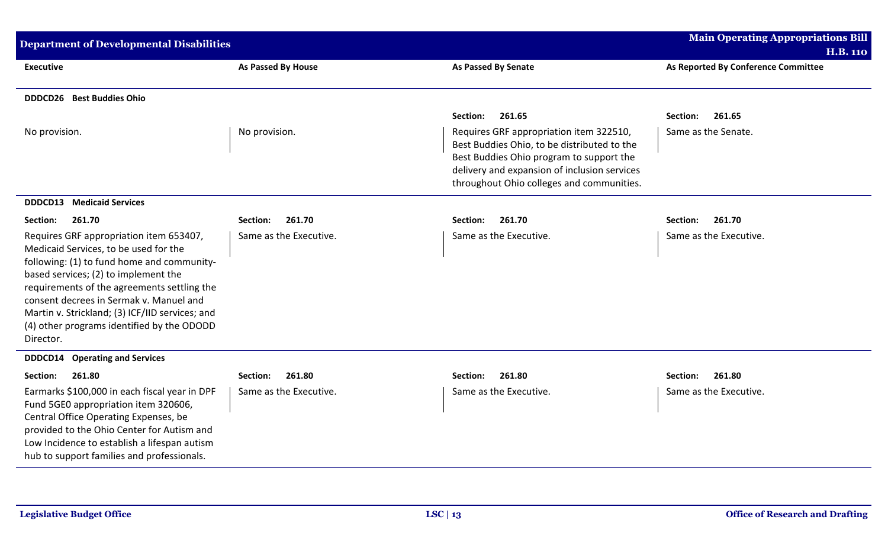| <b>Department of Developmental Disabilities</b>                                                                                                                                                                                                                                                                                                                                |                           |                                                                                                                                                                                                                                 | <b>Main Operating Appropriations Bill</b><br><b>H.B. 110</b> |  |
|--------------------------------------------------------------------------------------------------------------------------------------------------------------------------------------------------------------------------------------------------------------------------------------------------------------------------------------------------------------------------------|---------------------------|---------------------------------------------------------------------------------------------------------------------------------------------------------------------------------------------------------------------------------|--------------------------------------------------------------|--|
| <b>Executive</b>                                                                                                                                                                                                                                                                                                                                                               | As Passed By House        | As Passed By Senate                                                                                                                                                                                                             | As Reported By Conference Committee                          |  |
| <b>DDDCD26</b> Best Buddies Ohio                                                                                                                                                                                                                                                                                                                                               |                           |                                                                                                                                                                                                                                 |                                                              |  |
|                                                                                                                                                                                                                                                                                                                                                                                |                           | 261.65<br>Section:                                                                                                                                                                                                              | 261.65<br>Section:                                           |  |
| No provision.                                                                                                                                                                                                                                                                                                                                                                  | No provision.             | Requires GRF appropriation item 322510,<br>Best Buddies Ohio, to be distributed to the<br>Best Buddies Ohio program to support the<br>delivery and expansion of inclusion services<br>throughout Ohio colleges and communities. | Same as the Senate.                                          |  |
| <b>DDDCD13</b> Medicaid Services                                                                                                                                                                                                                                                                                                                                               |                           |                                                                                                                                                                                                                                 |                                                              |  |
| 261.70<br>Section:                                                                                                                                                                                                                                                                                                                                                             | 261.70<br>Section:        | 261.70<br>Section:                                                                                                                                                                                                              | 261.70<br>Section:                                           |  |
| Requires GRF appropriation item 653407,<br>Medicaid Services, to be used for the<br>following: (1) to fund home and community-<br>based services; (2) to implement the<br>requirements of the agreements settling the<br>consent decrees in Sermak v. Manuel and<br>Martin v. Strickland; (3) ICF/IID services; and<br>(4) other programs identified by the ODODD<br>Director. | Same as the Executive.    | Same as the Executive.                                                                                                                                                                                                          | Same as the Executive.                                       |  |
| <b>DDDCD14</b> Operating and Services                                                                                                                                                                                                                                                                                                                                          |                           |                                                                                                                                                                                                                                 |                                                              |  |
| Section:<br>261.80                                                                                                                                                                                                                                                                                                                                                             | 261.80<br><b>Section:</b> | 261.80<br>Section:                                                                                                                                                                                                              | 261.80<br>Section:                                           |  |
| Earmarks \$100,000 in each fiscal year in DPF<br>Fund 5GE0 appropriation item 320606,<br>Central Office Operating Expenses, be<br>provided to the Ohio Center for Autism and<br>Low Incidence to establish a lifespan autism<br>hub to support families and professionals.                                                                                                     | Same as the Executive.    | Same as the Executive.                                                                                                                                                                                                          | Same as the Executive.                                       |  |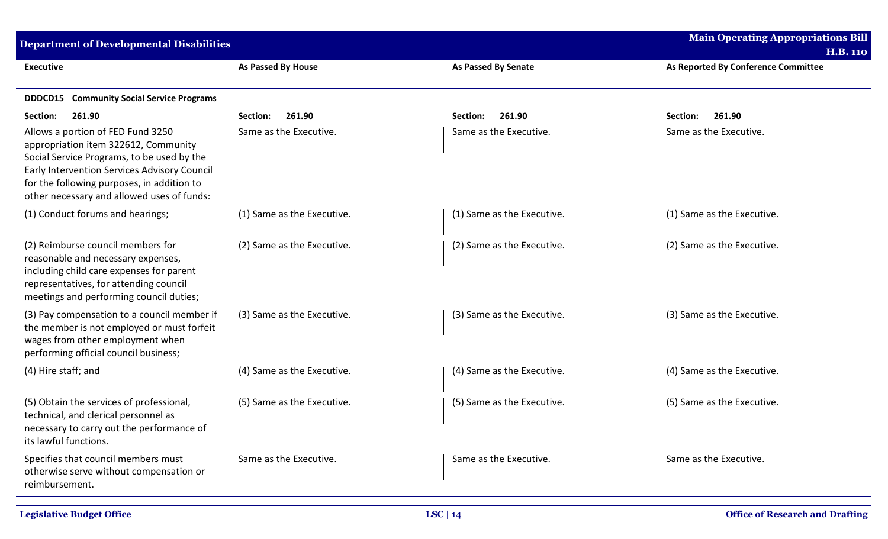| <b>Department of Developmental Disabilities</b>                                                                                                                                                                                                                     |                            |                            | <b>Main Operating Appropriations Bill</b>              |
|---------------------------------------------------------------------------------------------------------------------------------------------------------------------------------------------------------------------------------------------------------------------|----------------------------|----------------------------|--------------------------------------------------------|
| <b>Executive</b>                                                                                                                                                                                                                                                    | <b>As Passed By House</b>  | <b>As Passed By Senate</b> | <b>H.B. 110</b><br>As Reported By Conference Committee |
|                                                                                                                                                                                                                                                                     |                            |                            |                                                        |
| <b>DDDCD15</b> Community Social Service Programs                                                                                                                                                                                                                    |                            |                            |                                                        |
| 261.90<br>Section:                                                                                                                                                                                                                                                  | 261.90<br>Section:         | 261.90<br>Section:         | 261.90<br>Section:                                     |
| Allows a portion of FED Fund 3250<br>appropriation item 322612, Community<br>Social Service Programs, to be used by the<br>Early Intervention Services Advisory Council<br>for the following purposes, in addition to<br>other necessary and allowed uses of funds: | Same as the Executive.     | Same as the Executive.     | Same as the Executive.                                 |
| (1) Conduct forums and hearings;                                                                                                                                                                                                                                    | (1) Same as the Executive. | (1) Same as the Executive. | (1) Same as the Executive.                             |
| (2) Reimburse council members for<br>reasonable and necessary expenses,<br>including child care expenses for parent<br>representatives, for attending council<br>meetings and performing council duties;                                                            | (2) Same as the Executive. | (2) Same as the Executive. | (2) Same as the Executive.                             |
| (3) Pay compensation to a council member if<br>the member is not employed or must forfeit<br>wages from other employment when<br>performing official council business;                                                                                              | (3) Same as the Executive. | (3) Same as the Executive. | (3) Same as the Executive.                             |
| (4) Hire staff; and                                                                                                                                                                                                                                                 | (4) Same as the Executive. | (4) Same as the Executive. | (4) Same as the Executive.                             |
| (5) Obtain the services of professional,<br>technical, and clerical personnel as<br>necessary to carry out the performance of<br>its lawful functions.                                                                                                              | (5) Same as the Executive. | (5) Same as the Executive. | (5) Same as the Executive.                             |
| Specifies that council members must<br>otherwise serve without compensation or<br>reimbursement.                                                                                                                                                                    | Same as the Executive.     | Same as the Executive.     | Same as the Executive.                                 |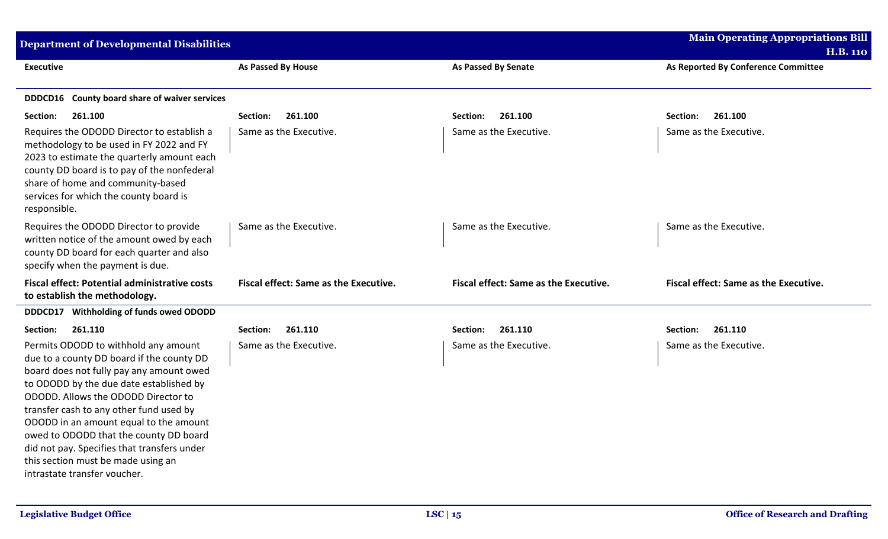| <b>Department of Developmental Disabilities</b>                                                                                                                                                                                                                                                                                                                                                                                                                     |                                              |                                       | <b>Main Operating Appropriations Bill</b><br><b>H.B. 110</b> |
|---------------------------------------------------------------------------------------------------------------------------------------------------------------------------------------------------------------------------------------------------------------------------------------------------------------------------------------------------------------------------------------------------------------------------------------------------------------------|----------------------------------------------|---------------------------------------|--------------------------------------------------------------|
| <b>Executive</b>                                                                                                                                                                                                                                                                                                                                                                                                                                                    | As Passed By House                           | <b>As Passed By Senate</b>            | As Reported By Conference Committee                          |
| DDDCD16 County board share of waiver services                                                                                                                                                                                                                                                                                                                                                                                                                       |                                              |                                       |                                                              |
| 261.100<br>Section:                                                                                                                                                                                                                                                                                                                                                                                                                                                 | 261.100<br>Section:                          | 261.100<br>Section:                   | 261.100<br>Section:                                          |
| Requires the ODODD Director to establish a<br>methodology to be used in FY 2022 and FY<br>2023 to estimate the quarterly amount each<br>county DD board is to pay of the nonfederal<br>share of home and community-based<br>services for which the county board is<br>responsible.                                                                                                                                                                                  | Same as the Executive.                       | Same as the Executive.                | Same as the Executive.                                       |
| Requires the ODODD Director to provide<br>written notice of the amount owed by each<br>county DD board for each quarter and also<br>specify when the payment is due.                                                                                                                                                                                                                                                                                                | Same as the Executive.                       | Same as the Executive.                | Same as the Executive.                                       |
| <b>Fiscal effect: Potential administrative costs</b><br>to establish the methodology.                                                                                                                                                                                                                                                                                                                                                                               | <b>Fiscal effect: Same as the Executive.</b> | Fiscal effect: Same as the Executive. | Fiscal effect: Same as the Executive.                        |
| Withholding of funds owed ODODD<br>DDDCD17                                                                                                                                                                                                                                                                                                                                                                                                                          |                                              |                                       |                                                              |
| 261.110<br>Section:                                                                                                                                                                                                                                                                                                                                                                                                                                                 | 261.110<br>Section:                          | 261.110<br>Section:                   | 261.110<br>Section:                                          |
| Permits ODODD to withhold any amount<br>due to a county DD board if the county DD<br>board does not fully pay any amount owed<br>to ODODD by the due date established by<br>ODODD. Allows the ODODD Director to<br>transfer cash to any other fund used by<br>ODODD in an amount equal to the amount<br>owed to ODODD that the county DD board<br>did not pay. Specifies that transfers under<br>this section must be made using an<br>intrastate transfer voucher. | Same as the Executive.                       | Same as the Executive.                | Same as the Executive.                                       |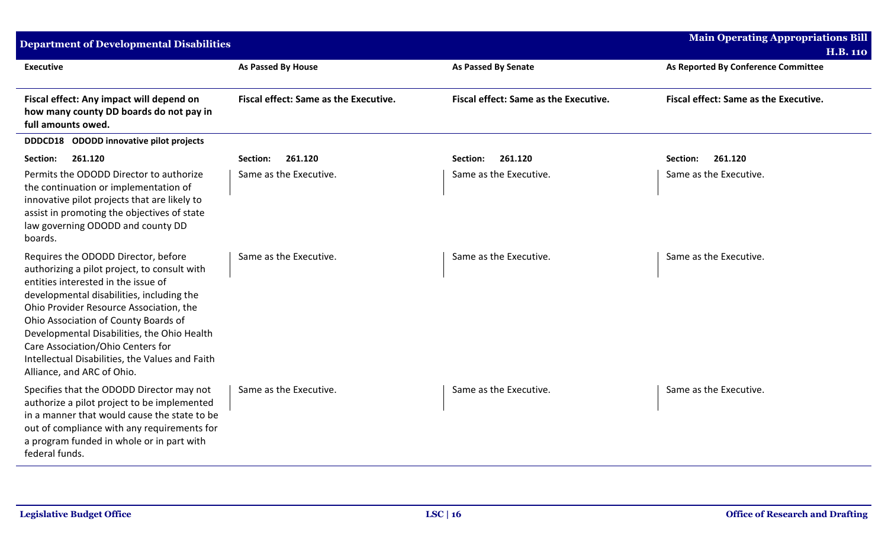| <b>Department of Developmental Disabilities</b>                                                                                                                                                                                                                                                                                                                                                                                 |                                       |                                       | <b>Main Operating Appropriations Bill</b><br><b>H.B. 110</b> |  |
|---------------------------------------------------------------------------------------------------------------------------------------------------------------------------------------------------------------------------------------------------------------------------------------------------------------------------------------------------------------------------------------------------------------------------------|---------------------------------------|---------------------------------------|--------------------------------------------------------------|--|
| <b>Executive</b>                                                                                                                                                                                                                                                                                                                                                                                                                | As Passed By House                    | As Passed By Senate                   | As Reported By Conference Committee                          |  |
| Fiscal effect: Any impact will depend on<br>how many county DD boards do not pay in<br>full amounts owed.                                                                                                                                                                                                                                                                                                                       | Fiscal effect: Same as the Executive. | Fiscal effect: Same as the Executive. | Fiscal effect: Same as the Executive.                        |  |
| DDDCD18 ODODD innovative pilot projects                                                                                                                                                                                                                                                                                                                                                                                         |                                       |                                       |                                                              |  |
| 261.120<br>Section:                                                                                                                                                                                                                                                                                                                                                                                                             | 261.120<br>Section:                   | 261.120<br>Section:                   | 261.120<br>Section:                                          |  |
| Permits the ODODD Director to authorize<br>the continuation or implementation of<br>innovative pilot projects that are likely to<br>assist in promoting the objectives of state<br>law governing ODODD and county DD<br>boards.                                                                                                                                                                                                 | Same as the Executive.                | Same as the Executive.                | Same as the Executive.                                       |  |
| Requires the ODODD Director, before<br>authorizing a pilot project, to consult with<br>entities interested in the issue of<br>developmental disabilities, including the<br>Ohio Provider Resource Association, the<br>Ohio Association of County Boards of<br>Developmental Disabilities, the Ohio Health<br>Care Association/Ohio Centers for<br>Intellectual Disabilities, the Values and Faith<br>Alliance, and ARC of Ohio. | Same as the Executive.                | Same as the Executive.                | Same as the Executive.                                       |  |
| Specifies that the ODODD Director may not<br>authorize a pilot project to be implemented<br>in a manner that would cause the state to be<br>out of compliance with any requirements for<br>a program funded in whole or in part with<br>federal funds.                                                                                                                                                                          | Same as the Executive.                | Same as the Executive.                | Same as the Executive.                                       |  |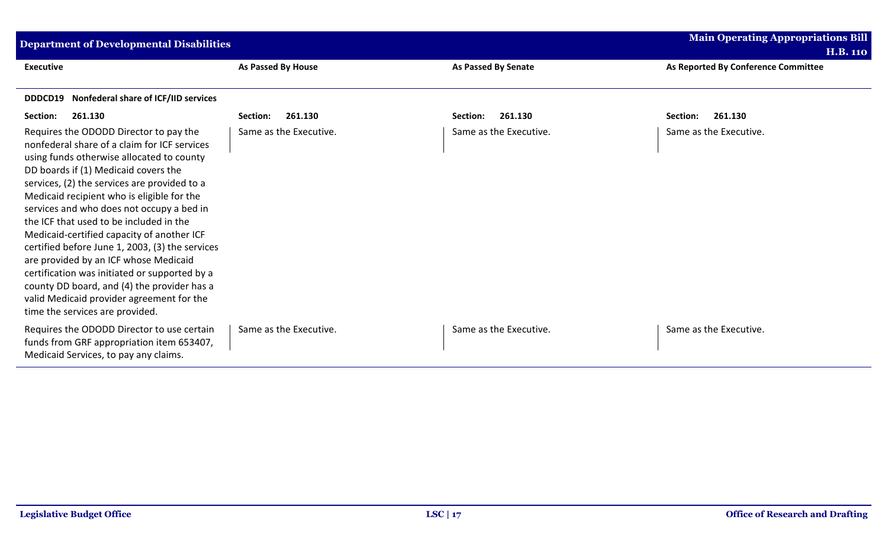| <b>Main Operating Appropriations Bill</b><br><b>Department of Developmental Disabilities</b>                                                                                                                                                                                                                                                                                                                                                                                                                                                                                                                                                                                                |                           |                        |                                                        |
|---------------------------------------------------------------------------------------------------------------------------------------------------------------------------------------------------------------------------------------------------------------------------------------------------------------------------------------------------------------------------------------------------------------------------------------------------------------------------------------------------------------------------------------------------------------------------------------------------------------------------------------------------------------------------------------------|---------------------------|------------------------|--------------------------------------------------------|
| <b>Executive</b>                                                                                                                                                                                                                                                                                                                                                                                                                                                                                                                                                                                                                                                                            | <b>As Passed By House</b> | As Passed By Senate    | <b>H.B. 110</b><br>As Reported By Conference Committee |
| Nonfederal share of ICF/IID services<br>DDDCD19                                                                                                                                                                                                                                                                                                                                                                                                                                                                                                                                                                                                                                             |                           |                        |                                                        |
| Section:<br>261.130                                                                                                                                                                                                                                                                                                                                                                                                                                                                                                                                                                                                                                                                         | 261.130<br>Section:       | 261.130<br>Section:    | 261.130<br>Section:                                    |
| Requires the ODODD Director to pay the<br>nonfederal share of a claim for ICF services<br>using funds otherwise allocated to county<br>DD boards if (1) Medicaid covers the<br>services, (2) the services are provided to a<br>Medicaid recipient who is eligible for the<br>services and who does not occupy a bed in<br>the ICF that used to be included in the<br>Medicaid-certified capacity of another ICF<br>certified before June 1, 2003, (3) the services<br>are provided by an ICF whose Medicaid<br>certification was initiated or supported by a<br>county DD board, and (4) the provider has a<br>valid Medicaid provider agreement for the<br>time the services are provided. | Same as the Executive.    | Same as the Executive. | Same as the Executive.                                 |
| Requires the ODODD Director to use certain<br>funds from GRF appropriation item 653407,<br>Medicaid Services, to pay any claims.                                                                                                                                                                                                                                                                                                                                                                                                                                                                                                                                                            | Same as the Executive.    | Same as the Executive. | Same as the Executive.                                 |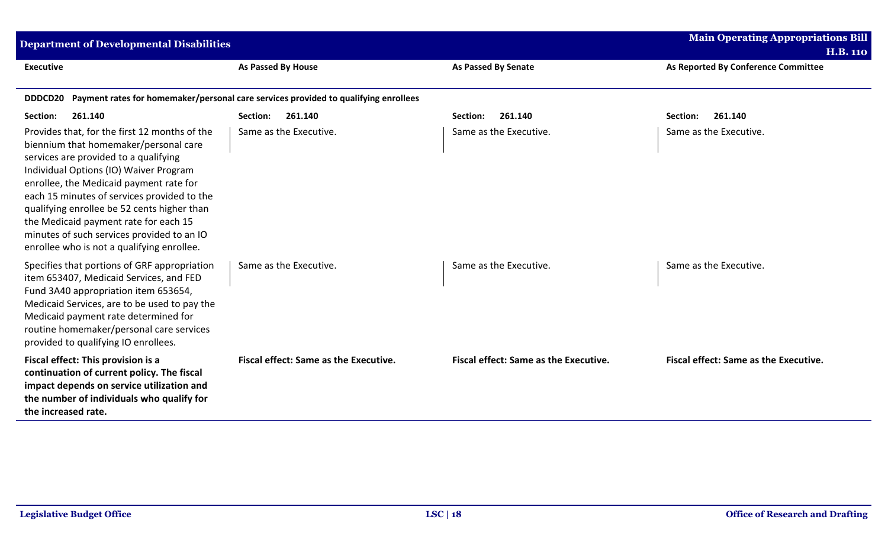| <b>Department of Developmental Disabilities</b>                                                                                                                                                                                                                                                                                                                                                                                                         |                                                                                             | <b>Main Operating Appropriations Bill</b><br><b>H.B. 110</b> |                                       |
|---------------------------------------------------------------------------------------------------------------------------------------------------------------------------------------------------------------------------------------------------------------------------------------------------------------------------------------------------------------------------------------------------------------------------------------------------------|---------------------------------------------------------------------------------------------|--------------------------------------------------------------|---------------------------------------|
| <b>Executive</b>                                                                                                                                                                                                                                                                                                                                                                                                                                        | <b>As Passed By House</b>                                                                   | <b>As Passed By Senate</b>                                   | As Reported By Conference Committee   |
|                                                                                                                                                                                                                                                                                                                                                                                                                                                         | DDDCD20 Payment rates for homemaker/personal care services provided to qualifying enrollees |                                                              |                                       |
| 261.140<br>Section:                                                                                                                                                                                                                                                                                                                                                                                                                                     | 261.140<br>Section:                                                                         | 261.140<br>Section:                                          | 261.140<br>Section:                   |
| Provides that, for the first 12 months of the<br>biennium that homemaker/personal care<br>services are provided to a qualifying<br>Individual Options (IO) Waiver Program<br>enrollee, the Medicaid payment rate for<br>each 15 minutes of services provided to the<br>qualifying enrollee be 52 cents higher than<br>the Medicaid payment rate for each 15<br>minutes of such services provided to an IO<br>enrollee who is not a qualifying enrollee. | Same as the Executive.                                                                      | Same as the Executive.                                       | Same as the Executive.                |
| Specifies that portions of GRF appropriation<br>item 653407, Medicaid Services, and FED<br>Fund 3A40 appropriation item 653654,<br>Medicaid Services, are to be used to pay the<br>Medicaid payment rate determined for<br>routine homemaker/personal care services<br>provided to qualifying IO enrollees.                                                                                                                                             | Same as the Executive.                                                                      | Same as the Executive.                                       | Same as the Executive.                |
| Fiscal effect: This provision is a<br>continuation of current policy. The fiscal<br>impact depends on service utilization and<br>the number of individuals who qualify for<br>the increased rate.                                                                                                                                                                                                                                                       | Fiscal effect: Same as the Executive.                                                       | Fiscal effect: Same as the Executive.                        | Fiscal effect: Same as the Executive. |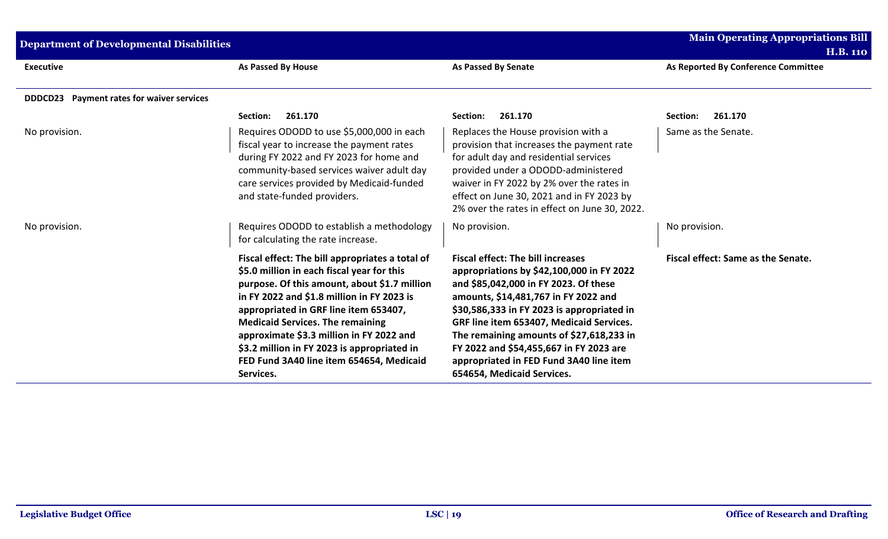| <b>Department of Developmental Disabilities</b>            |                                                                                                                                                                                                                                                                                                                                                                                                                                     |                                                                                                                                                                                                                                                                                                                                                                                                                                  | <b>Main Operating Appropriations Bill</b><br><b>H.B. 110</b> |
|------------------------------------------------------------|-------------------------------------------------------------------------------------------------------------------------------------------------------------------------------------------------------------------------------------------------------------------------------------------------------------------------------------------------------------------------------------------------------------------------------------|----------------------------------------------------------------------------------------------------------------------------------------------------------------------------------------------------------------------------------------------------------------------------------------------------------------------------------------------------------------------------------------------------------------------------------|--------------------------------------------------------------|
| <b>Executive</b>                                           | <b>As Passed By House</b>                                                                                                                                                                                                                                                                                                                                                                                                           | <b>As Passed By Senate</b>                                                                                                                                                                                                                                                                                                                                                                                                       | As Reported By Conference Committee                          |
| <b>Payment rates for waiver services</b><br><b>DDDCD23</b> |                                                                                                                                                                                                                                                                                                                                                                                                                                     |                                                                                                                                                                                                                                                                                                                                                                                                                                  |                                                              |
|                                                            | 261.170<br>Section:                                                                                                                                                                                                                                                                                                                                                                                                                 | 261.170<br>Section:                                                                                                                                                                                                                                                                                                                                                                                                              | 261.170<br>Section:                                          |
| No provision.                                              | Requires ODODD to use \$5,000,000 in each<br>fiscal year to increase the payment rates<br>during FY 2022 and FY 2023 for home and<br>community-based services waiver adult day<br>care services provided by Medicaid-funded<br>and state-funded providers.                                                                                                                                                                          | Replaces the House provision with a<br>provision that increases the payment rate<br>for adult day and residential services<br>provided under a ODODD-administered<br>waiver in FY 2022 by 2% over the rates in<br>effect on June 30, 2021 and in FY 2023 by<br>2% over the rates in effect on June 30, 2022.                                                                                                                     | Same as the Senate.                                          |
| No provision.                                              | Requires ODODD to establish a methodology<br>for calculating the rate increase.                                                                                                                                                                                                                                                                                                                                                     | No provision.                                                                                                                                                                                                                                                                                                                                                                                                                    | No provision.                                                |
|                                                            | Fiscal effect: The bill appropriates a total of<br>\$5.0 million in each fiscal year for this<br>purpose. Of this amount, about \$1.7 million<br>in FY 2022 and \$1.8 million in FY 2023 is<br>appropriated in GRF line item 653407,<br><b>Medicaid Services. The remaining</b><br>approximate \$3.3 million in FY 2022 and<br>\$3.2 million in FY 2023 is appropriated in<br>FED Fund 3A40 line item 654654, Medicaid<br>Services. | <b>Fiscal effect: The bill increases</b><br>appropriations by \$42,100,000 in FY 2022<br>and \$85,042,000 in FY 2023. Of these<br>amounts, \$14,481,767 in FY 2022 and<br>\$30,586,333 in FY 2023 is appropriated in<br>GRF line item 653407, Medicaid Services.<br>The remaining amounts of \$27,618,233 in<br>FY 2022 and \$54,455,667 in FY 2023 are<br>appropriated in FED Fund 3A40 line item<br>654654, Medicaid Services. | Fiscal effect: Same as the Senate.                           |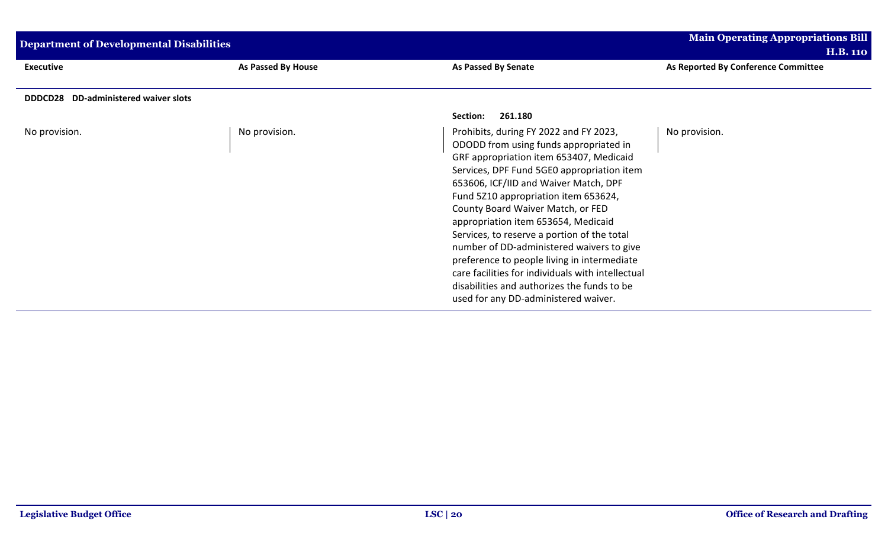| <b>Department of Developmental Disabilities</b> |                    |                                                                                                                                                                                                                                                                                                                                                                                                                                                                                                                                                                                                                               | <b>Main Operating Appropriations Bill</b> |
|-------------------------------------------------|--------------------|-------------------------------------------------------------------------------------------------------------------------------------------------------------------------------------------------------------------------------------------------------------------------------------------------------------------------------------------------------------------------------------------------------------------------------------------------------------------------------------------------------------------------------------------------------------------------------------------------------------------------------|-------------------------------------------|
|                                                 |                    |                                                                                                                                                                                                                                                                                                                                                                                                                                                                                                                                                                                                                               | <b>H.B. 110</b>                           |
| <b>Executive</b>                                | As Passed By House | As Passed By Senate                                                                                                                                                                                                                                                                                                                                                                                                                                                                                                                                                                                                           | As Reported By Conference Committee       |
|                                                 |                    |                                                                                                                                                                                                                                                                                                                                                                                                                                                                                                                                                                                                                               |                                           |
| DDDCD28 DD-administered waiver slots            |                    |                                                                                                                                                                                                                                                                                                                                                                                                                                                                                                                                                                                                                               |                                           |
|                                                 |                    | 261.180<br>Section:                                                                                                                                                                                                                                                                                                                                                                                                                                                                                                                                                                                                           |                                           |
| No provision.                                   | No provision.      | Prohibits, during FY 2022 and FY 2023,<br>ODODD from using funds appropriated in<br>GRF appropriation item 653407, Medicaid<br>Services, DPF Fund 5GE0 appropriation item<br>653606, ICF/IID and Waiver Match, DPF<br>Fund 5210 appropriation item 653624,<br>County Board Waiver Match, or FED<br>appropriation item 653654, Medicaid<br>Services, to reserve a portion of the total<br>number of DD-administered waivers to give<br>preference to people living in intermediate<br>care facilities for individuals with intellectual<br>disabilities and authorizes the funds to be<br>used for any DD-administered waiver. | No provision.                             |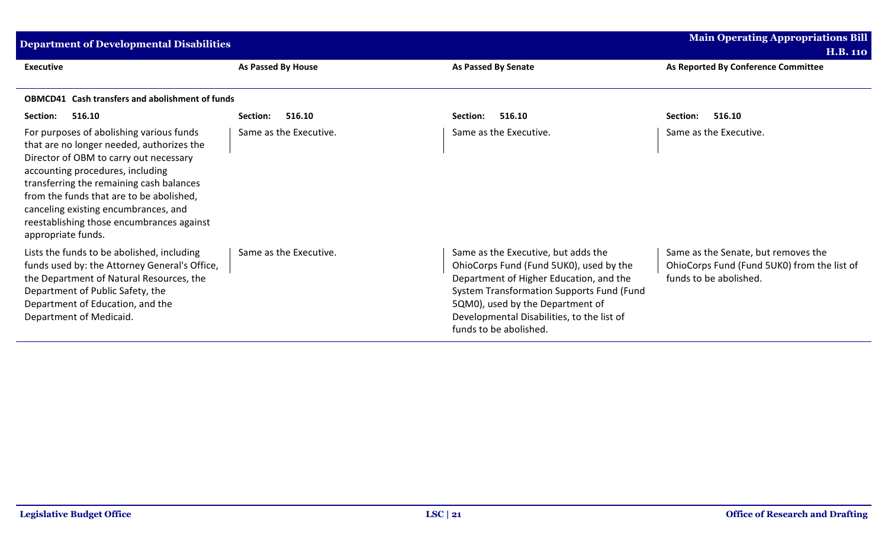| <b>Main Operating Appropriations Bill</b><br><b>Department of Developmental Disabilities</b>                                                                                                                                                                                                                                                                           |                        |                                                                                                                                                                                                                                                                                    |                                                                                                              |
|------------------------------------------------------------------------------------------------------------------------------------------------------------------------------------------------------------------------------------------------------------------------------------------------------------------------------------------------------------------------|------------------------|------------------------------------------------------------------------------------------------------------------------------------------------------------------------------------------------------------------------------------------------------------------------------------|--------------------------------------------------------------------------------------------------------------|
| <b>Executive</b>                                                                                                                                                                                                                                                                                                                                                       | As Passed By House     | As Passed By Senate                                                                                                                                                                                                                                                                | <b>H.B. 110</b><br>As Reported By Conference Committee                                                       |
| <b>OBMCD41</b> Cash transfers and abolishment of funds                                                                                                                                                                                                                                                                                                                 |                        |                                                                                                                                                                                                                                                                                    |                                                                                                              |
| Section:<br>516.10                                                                                                                                                                                                                                                                                                                                                     | 516.10<br>Section:     | 516.10<br>Section:                                                                                                                                                                                                                                                                 | 516.10<br>Section:                                                                                           |
| For purposes of abolishing various funds<br>that are no longer needed, authorizes the<br>Director of OBM to carry out necessary<br>accounting procedures, including<br>transferring the remaining cash balances<br>from the funds that are to be abolished,<br>canceling existing encumbrances, and<br>reestablishing those encumbrances against<br>appropriate funds. | Same as the Executive. | Same as the Executive.                                                                                                                                                                                                                                                             | Same as the Executive.                                                                                       |
| Lists the funds to be abolished, including<br>funds used by: the Attorney General's Office,<br>the Department of Natural Resources, the<br>Department of Public Safety, the<br>Department of Education, and the<br>Department of Medicaid.                                                                                                                             | Same as the Executive. | Same as the Executive, but adds the<br>OhioCorps Fund (Fund 5UK0), used by the<br>Department of Higher Education, and the<br>System Transformation Supports Fund (Fund<br>5QM0), used by the Department of<br>Developmental Disabilities, to the list of<br>funds to be abolished. | Same as the Senate, but removes the<br>OhioCorps Fund (Fund 5UK0) from the list of<br>funds to be abolished. |